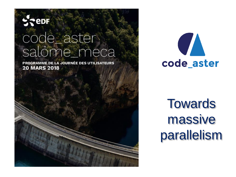#### **Repr**

## code\_aster salome\_meca

PROGRAMME DE LA JOURNÉE DES UTILISATEURS **20 MARS 2018** 





**Towards** massive parallelism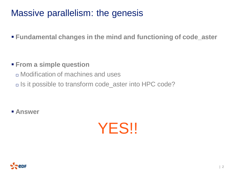#### Massive parallelism: the genesis

**Fundamental changes in the mind and functioning of code\_aster**

- **From a simple question** 
	- Modification of machines and uses
	- □ Is it possible to transform code\_aster into HPC code?

**Answer**



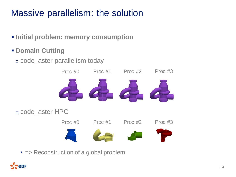## Massive parallelism: the solution

- $\blacksquare$  Initial problem: memory consumption
- **Domain Cutting**

code\_aster parallelism today



• = Reconstruction of a global problem

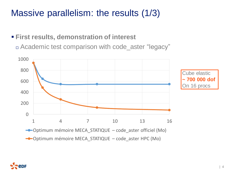#### Massive parallelism: the results (1/3)

#### **First results, demonstration of interest**

Academic test comparison with code\_aster "legacy"

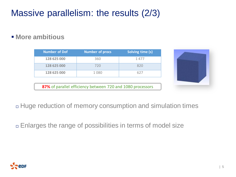## Massive parallelism: the results (2/3)

 $\blacksquare$  More ambitious

| <b>Number of Dof</b> | <b>Number of procs</b> | Solving time (s) |
|----------------------|------------------------|------------------|
| 128 625 000          | 360                    | 1 477            |
| 128 625 000          | 720                    | 820              |
| 128 625 000          | 1080                   | 627              |

**87%** of parallel efficiency between 720 and 1080 processors



Huge reduction of memory consumption and simulation times

Enlarges the range of possibilities in terms of model size

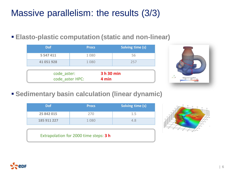#### Massive parallelism: the results (3/3)

**Elasto-plastic computation (static and non-linear)**

| <b>Dof</b>      | <b>Procs</b> | Solving time (s) |  |
|-----------------|--------------|------------------|--|
| 5 5 4 7 4 1 1   | 1080         | 56               |  |
| 41 051 928      | 1080         | 257              |  |
|                 |              |                  |  |
| code aster:     |              | 3 h 30 min       |  |
| code aster HPC: |              | 4 min            |  |



**Sedimentary basin calculation (linear dynamic)**

| Dof.        | <b>Procs</b> | Solving time (s) |
|-------------|--------------|------------------|
| 25 842 015  | 270          | 1.5              |
| 185 911 227 | 1080         | 4.8              |



Extrapolation for 2000 time steps: **3 h**

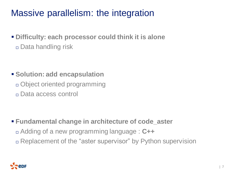#### Massive parallelism: the integration

 **Difficulty: each processor could think it is alone** Data handling risk

**Solution: add encapsulation**  Object oriented programming Data access control

 **Fundamental change in architecture of code\_aster** Adding of a new programming language : **C++** Replacement of the "aster supervisor" by Python supervision

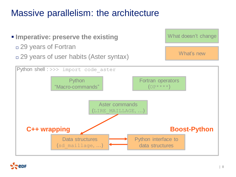#### Massive parallelism: the architecture

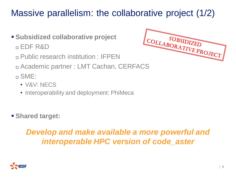## Massive parallelism: the collaborative project (1/2)

- **Subsidized collaborative project**  EDF R&D
	- Public research institution : IFPEN
	- Academic partner : LMT Cachan, CERFACS

SME:

- V&V: NECS
- Interoperability and deployment: PhiMeca
- **Shared target:**

#### *Develop and make available a more powerful and interoperable HPC version of code\_aster*



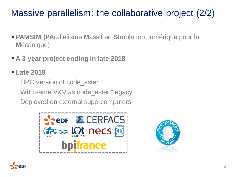## Massive parallelism: the collaborative project (2/2)

- **PAMSIM (PA**rallélisme **M**assif en **SI**mulation numérique pour la **M**écanique)
- **A 3-year project ending in late 2018**
- **Late 2018**
	- □ HPC version of code aster
	- With same V&V as code\_aster "legacy"
	- Deployed on external supercomputers





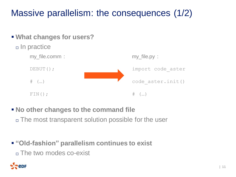## Massive parallelism: the consequences (1/2)



**No other changes to the command file** 

The most transparent solution possible for the user

 **"Old-fashion" parallelism continues to exist** The two modes co-exist

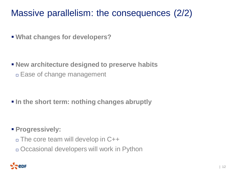#### Massive parallelism: the consequences (2/2)

**What changes for developers?**

 **New architecture designed to preserve habits** Ease of change management

**In the short term: nothing changes abruptly** 

- **Progressively:** 
	- The core team will develop in C++
	- Occasional developers will work in Python

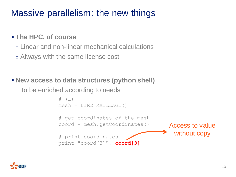#### Massive parallelism: the new things

#### **The HPC, of course**

n Linear and non-linear mechanical calculations

Always with the same license cost

#### **New access to data structures (python shell)**

 $\Box$  To be enriched according to needs

```
\# (...)mesh = LINE MATLLAGE()# get coordinates of the mesh
coord = mesh.getCoordinates()
# print coordinates
print "coord[3]", coord[3]
                                    Access to value 
                                      without copy
```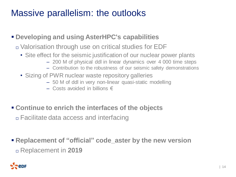#### Massive parallelism: the outlooks

- **Developing and using AsterHPC's capabilities**
	- Valorisation through use on critical studies for EDF
		- Site effect for the seismic justification of our nuclear power plants
			- 200 M of physical ddl in linear dynamics over 4 000 time steps
			- Contribution to the robustness of our seismic safety demonstrations
		- Sizing of PWR nuclear waste repository galleries
			- 50 M of ddl in very non-linear quasi-static modelling
			- $-$  Costs avoided in billions €
- **Continue to enrich the interfaces of the objects**

Facilitate data access and interfacing

 **Replacement of "official" code\_aster by the new version** Replacement in **2019**